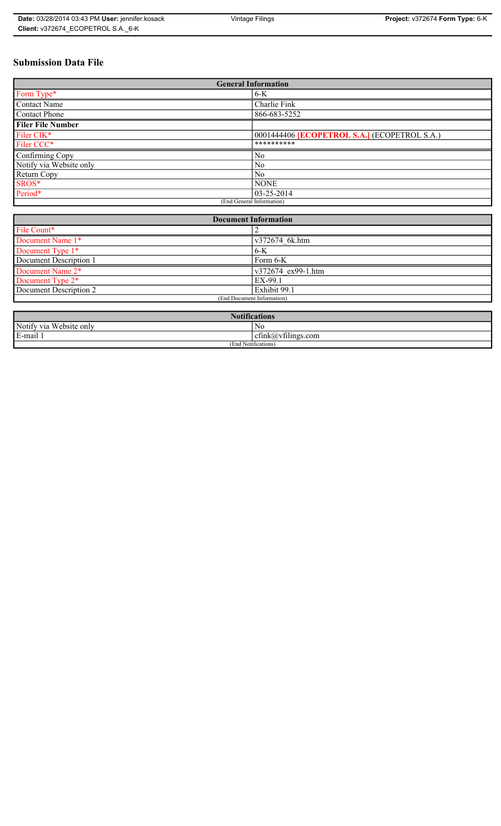# **Submission Data File**

| <b>General Information</b> |                                                     |
|----------------------------|-----------------------------------------------------|
| Form Type*                 | $6-K$                                               |
| Contact Name               | Charlie Fink                                        |
| <b>Contact Phone</b>       | 866-683-5252                                        |
| <b>Filer File Number</b>   |                                                     |
| Filer CIK*                 | 0001444406 <b>[ECOPETROL S.A.]</b> (ECOPETROL S.A.) |
| Filer CCC*                 | **********                                          |
| Confirming Copy            | N <sub>0</sub>                                      |
| Notify via Website only    | N <sub>0</sub>                                      |
| Return Copy                | N <sub>0</sub>                                      |
| SROS*                      | <b>NONE</b>                                         |
| Period*                    | $ 03 - 25 - 2014 $                                  |
| (End General Information)  |                                                     |

| <b>Document Information</b>  |                    |
|------------------------------|--------------------|
| File Count*                  |                    |
| Document Name 1*             | v372674 6k.htm     |
| Document Type 1*             | $6-K$              |
| Document Description 1       | Form 6-K           |
| Document Name 2*             | v372674 ex99-1.htm |
| Document Type 2 <sup>*</sup> | EX-99.1            |
| Document Description 2       | Exhibit 99.1       |
| (End Document Information)   |                    |
|                              |                    |

| <b>Notifications</b>         |                                   |  |
|------------------------------|-----------------------------------|--|
| Notify via<br>u Website only | N0                                |  |
| E-mail 1                     | $\sim$ 1.<br>ctink(a)vtilings.com |  |
| (End Notifications)          |                                   |  |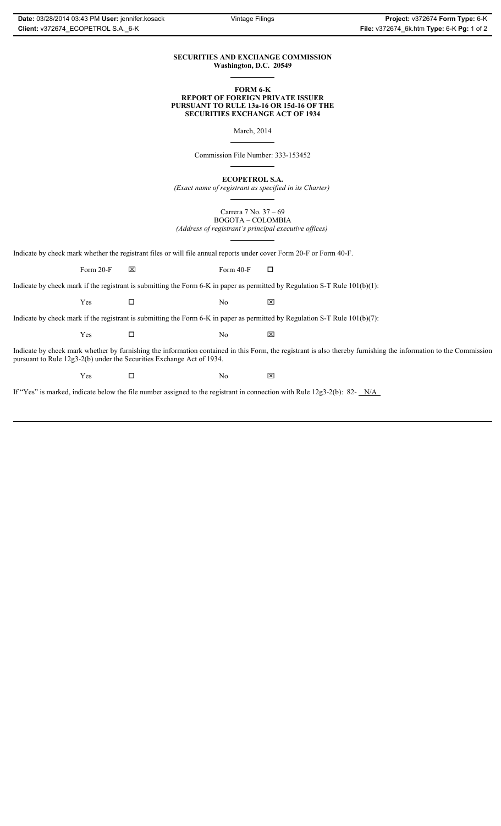#### **SECURITIES AND EXCHANGE COMMISSION Washington, D.C. 20549**

#### **FORM 6-K REPORT OF FOREIGN PRIVATE ISSUER PURSUANT TO RULE 13a-16 OR 15d-16 OF THE SECURITIES EXCHANGE ACT OF 1934**

March, 2014

Commission File Number: 333-153452

**ECOPETROL S.A.**

*(Exact name of registrant as specified in its Charter)*

Carrera 7 No. 37 – 69 BOGOTA – COLOMBIA *(Address of registrant's principal executive offices)*

Indicate by check mark whether the registrant files or will file annual reports under cover Form 20-F or Form 40-F.

Form 20-F  $\boxtimes$  Form 40-F  $\Box$ 

Indicate by check mark if the registrant is submitting the Form 6-K in paper as permitted by Regulation S-T Rule 101(b)(1):

 $Yes$   $\Box$  No  $X$ 

Indicate by check mark if the registrant is submitting the Form 6-K in paper as permitted by Regulation S-T Rule 101(b)(7):

 $Yes$   $\Box$  No  $X$ 

Indicate by check mark whether by furnishing the information contained in this Form, the registrant is also thereby furnishing the information to the Commission pursuant to Rule 12g3-2(b) under the Securities Exchange Act of 1934.

 $Yes$   $\Box$  No  $X$ 

If "Yes" is marked, indicate below the file number assigned to the registrant in connection with Rule 12g3-2(b): 82- N/A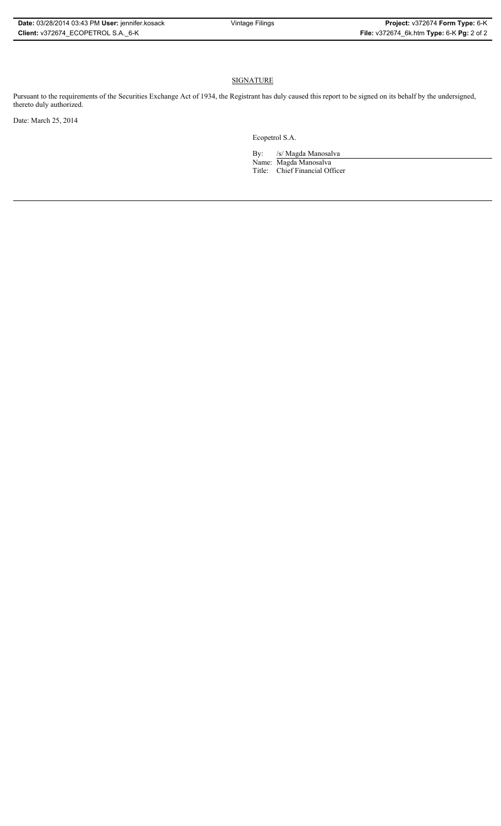#### **SIGNATURE**

Pursuant to the requirements of the Securities Exchange Act of 1934, the Registrant has duly caused this report to be signed on its behalf by the undersigned, thereto duly authorized.

Date: March 25, 2014

Ecopetrol S.A.

By: /s/ Magda Manosalva Name: Magda Manosalva Title: Chief Financial Officer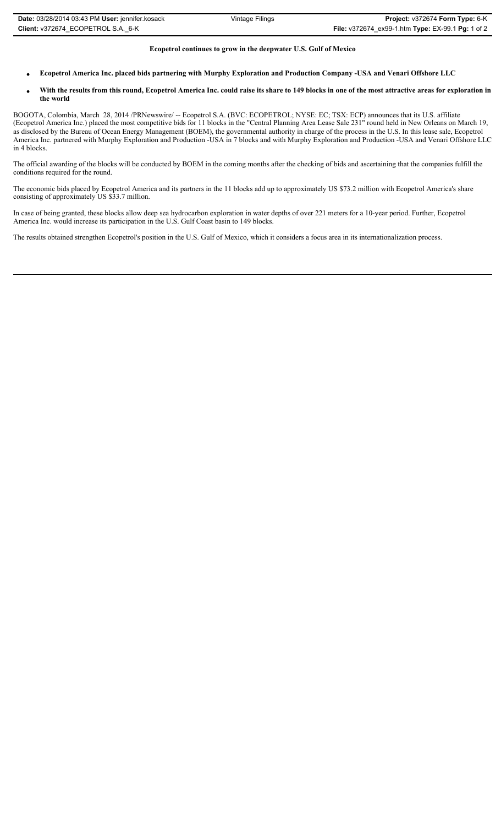## **Ecopetrol continues to grow in the deepwater U.S. Gulf of Mexico**

- x **Ecopetrol America Inc. placed bids partnering with Murphy Exploration and Production Company -USA and Venari Offshore LLC**
- With the results from this round, Ecopetrol America Inc. could raise its share to 149 blocks in one of the most attractive areas for exploration in **the world**

BOGOTA, Colombia, March 28, 2014 /PRNewswire/ -- Ecopetrol S.A. (BVC: ECOPETROL; NYSE: EC; TSX: ECP) announces that its U.S. affiliate (Ecopetrol America Inc.) placed the most competitive bids for 11 blocks in the "Central Planning Area Lease Sale 231" round held in New Orleans on March 19, as disclosed by the Bureau of Ocean Energy Management (BOEM), the governmental authority in charge of the process in the U.S. In this lease sale, Ecopetrol America Inc. partnered with Murphy Exploration and Production -USA in 7 blocks and with Murphy Exploration and Production -USA and Venari Offshore LLC in 4 blocks.

The official awarding of the blocks will be conducted by BOEM in the coming months after the checking of bids and ascertaining that the companies fulfill the conditions required for the round.

The economic bids placed by Ecopetrol America and its partners in the 11 blocks add up to approximately US \$73.2 million with Ecopetrol America's share consisting of approximately US \$33.7 million.

In case of being granted, these blocks allow deep sea hydrocarbon exploration in water depths of over 221 meters for a 10-year period. Further, Ecopetrol America Inc. would increase its participation in the U.S. Gulf Coast basin to 149 blocks.

The results obtained strengthen Ecopetrol's position in the U.S. Gulf of Mexico, which it considers a focus area in its internationalization process.